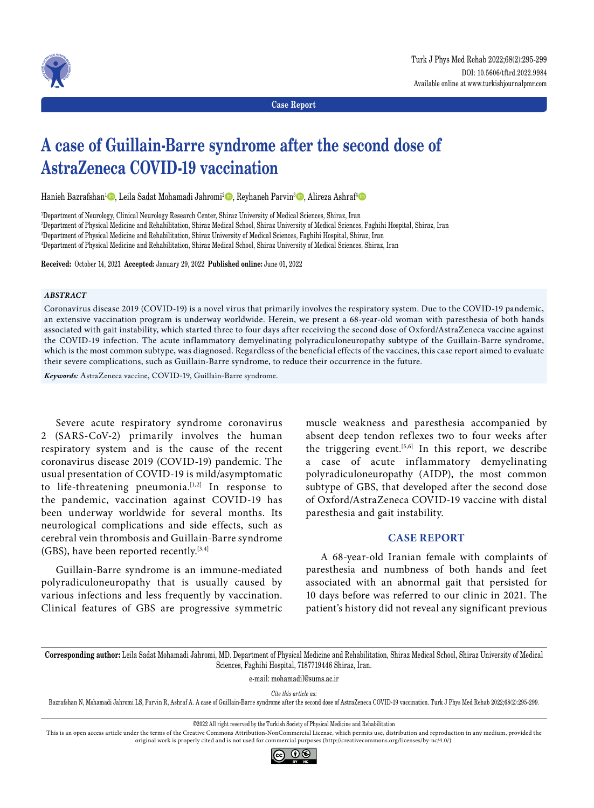

**Case Report**

# **A case of Guillain-Barre syndrome after the second dose of AstraZeneca COVID-19 vaccination**

Hanieh Bazrafshan<sup>1</sup>©, Leila Sadat Mohamadi Jahromi<sup>2</sup>©, Reyhaneh Parvin<sup>3</sup>©, Alireza Ashraf<sup>a</sup>©

 Department of Neurology, Clinical Neurology Research Center, Shiraz University of Medical Sciences, Shiraz, Iran Department of Physical Medicine and Rehabilitation, Shiraz Medical School, Shiraz University of Medical Sciences, Faghihi Hospital, Shiraz, Iran Department of Physical Medicine and Rehabilitation, Shiraz University of Medical Sciences, Faghihi Hospital, Shiraz, Iran Department of Physical Medicine and Rehabilitation, Shiraz Medical School, Shiraz University of Medical Sciences, Shiraz, Iran

**Received:** October 14, 2021 **Accepted:** January 29, 2022 **Published online:** June 01, 2022

### *ABSTRACT*

Coronavirus disease 2019 (COVID-19) is a novel virus that primarily involves the respiratory system. Due to the COVID-19 pandemic, an extensive vaccination program is underway worldwide. Herein, we present a 68-year-old woman with paresthesia of both hands associated with gait instability, which started three to four days after receiving the second dose of Oxford/AstraZeneca vaccine against the COVID-19 infection. The acute inflammatory demyelinating polyradiculoneuropathy subtype of the Guillain-Barre syndrome, which is the most common subtype, was diagnosed. Regardless of the beneficial effects of the vaccines, this case report aimed to evaluate their severe complications, such as Guillain-Barre syndrome, to reduce their occurrence in the future.

*Keywords:* AstraZeneca vaccine, COVID-19, Guillain-Barre syndrome.

Severe acute respiratory syndrome coronavirus 2 (SARS-CoV-2) primarily involves the human respiratory system and is the cause of the recent coronavirus disease 2019 (COVID-19) pandemic. The usual presentation of COVID-19 is mild/asymptomatic to life-threatening pneumonia.<sup>[1,2]</sup> In response to the pandemic, vaccination against COVID-19 has been underway worldwide for several months. Its neurological complications and side effects, such as cerebral vein thrombosis and Guillain-Barre syndrome (GBS), have been reported recently.[3,4]

Guillain-Barre syndrome is an immune-mediated polyradiculoneuropathy that is usually caused by various infections and less frequently by vaccination. Clinical features of GBS are progressive symmetric

muscle weakness and paresthesia accompanied by absent deep tendon reflexes two to four weeks after the triggering event.<sup>[5,6]</sup> In this report, we describe a case of acute inflammatory demyelinating polyradiculoneuropathy (AIDP), the most common subtype of GBS, that developed after the second dose of Oxford/AstraZeneca COVID-19 vaccine with distal paresthesia and gait instability.

## **CASE REPORT**

A 68-year-old Iranian female with complaints of paresthesia and numbness of both hands and feet associated with an abnormal gait that persisted for 10 days before was referred to our clinic in 2021. The patient's history did not reveal any significant previous

**Corresponding author:** Leila Sadat Mohamadi Jahromi, MD. Department of Physical Medicine and Rehabilitation, Shiraz Medical School, Shiraz University of Medical Sciences, Faghihi Hospital, 7187719446 Shiraz, Iran.

e-mail: mohamadil@sums.ac.ir

*Cite this article as:*

Bazrafshan N, Mohamadi Jahromi LS, Parvin R, Ashraf A. A case of Guillain-Barre syndrome after the second dose of AstraZeneca COVID-19 vaccination. Turk J Phys Med Rehab 2022;68(2):295-299.

©2022 All right reserved by the Turkish Society of Physical Medicine and Rehabilitation

This is an open access article under the terms of the Creative Commons Attribution-NonCommercial License, which permits use, distribution and reproduction in any medium, provided the original work is properly cited and is not used for commercial purposes (http://creativecommons.org/licenses/by-nc/4.0/).

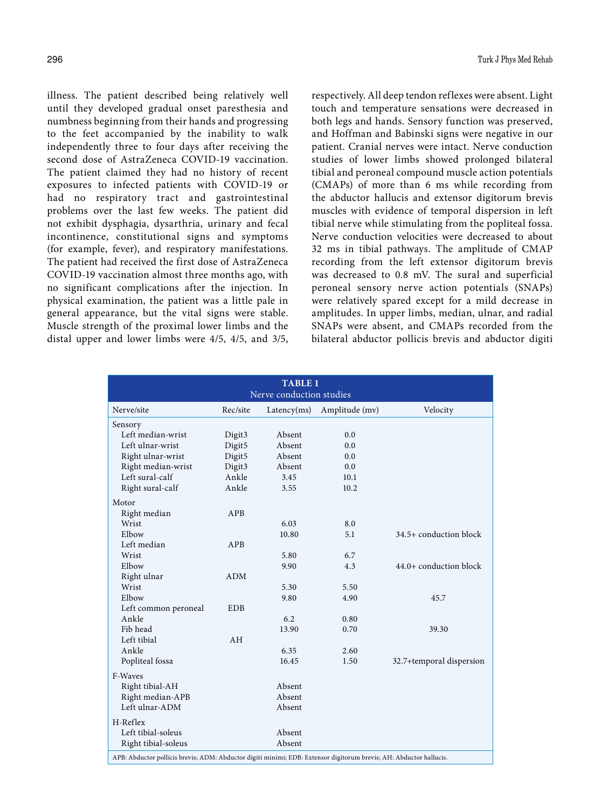illness. The patient described being relatively well until they developed gradual onset paresthesia and numbness beginning from their hands and progressing to the feet accompanied by the inability to walk independently three to four days after receiving the second dose of AstraZeneca COVID-19 vaccination. The patient claimed they had no history of recent exposures to infected patients with COVID-19 or had no respiratory tract and gastrointestinal problems over the last few weeks. The patient did not exhibit dysphagia, dysarthria, urinary and fecal incontinence, constitutional signs and symptoms (for example, fever), and respiratory manifestations. The patient had received the first dose of AstraZeneca COVID-19 vaccination almost three months ago, with no significant complications after the injection. In physical examination, the patient was a little pale in general appearance, but the vital signs were stable. Muscle strength of the proximal lower limbs and the distal upper and lower limbs were 4/5, 4/5, and 3/5, respectively. All deep tendon reflexes were absent. Light touch and temperature sensations were decreased in both legs and hands. Sensory function was preserved, and Hoffman and Babinski signs were negative in our patient. Cranial nerves were intact. Nerve conduction studies of lower limbs showed prolonged bilateral tibial and peroneal compound muscle action potentials (CMAPs) of more than 6 ms while recording from the abductor hallucis and extensor digitorum brevis muscles with evidence of temporal dispersion in left tibial nerve while stimulating from the popliteal fossa. Nerve conduction velocities were decreased to about 32 ms in tibial pathways. The amplitude of CMAP recording from the left extensor digitorum brevis was decreased to 0.8 mV. The sural and superficial peroneal sensory nerve action potentials (SNAPs) were relatively spared except for a mild decrease in amplitudes. In upper limbs, median, ulnar, and radial SNAPs were absent, and CMAPs recorded from the bilateral abductor pollicis brevis and abductor digiti

| <b>TABLE 1</b><br>Nerve conduction studies |            |             |                |                          |  |  |  |  |  |  |
|--------------------------------------------|------------|-------------|----------------|--------------------------|--|--|--|--|--|--|
| Nerve/site                                 | Rec/site   | Latency(ms) | Amplitude (mv) | Velocity                 |  |  |  |  |  |  |
| Sensory                                    |            |             |                |                          |  |  |  |  |  |  |
| Left median-wrist                          | Digit3     | Absent      | 0.0            |                          |  |  |  |  |  |  |
| Left ulnar-wrist                           | Digit5     | Absent      | 0.0            |                          |  |  |  |  |  |  |
| Right ulnar-wrist                          | Digit5     | Absent      | 0.0            |                          |  |  |  |  |  |  |
| Right median-wrist                         | Digit3     | Absent      | 0.0            |                          |  |  |  |  |  |  |
| Left sural-calf                            | Ankle      | 3.45        | 10.1           |                          |  |  |  |  |  |  |
| Right sural-calf                           | Ankle      | 3.55        | 10.2           |                          |  |  |  |  |  |  |
| Motor                                      |            |             |                |                          |  |  |  |  |  |  |
| Right median                               | APB        |             |                |                          |  |  |  |  |  |  |
| Wrist                                      |            | 6.03        | 8.0            |                          |  |  |  |  |  |  |
| Elbow                                      |            | 10.80       | 5.1            | 34.5+ conduction block   |  |  |  |  |  |  |
| Left median                                | APB        |             |                |                          |  |  |  |  |  |  |
| Wrist                                      |            | 5.80        | 6.7            |                          |  |  |  |  |  |  |
| Elbow                                      |            | 9.90        | 4.3            | 44.0+ conduction block   |  |  |  |  |  |  |
| Right ulnar                                | <b>ADM</b> |             |                |                          |  |  |  |  |  |  |
| Wrist                                      |            | 5.30        | 5.50           |                          |  |  |  |  |  |  |
| Elbow                                      |            | 9.80        | 4.90           | 45.7                     |  |  |  |  |  |  |
| Left common peroneal                       | <b>EDB</b> |             |                |                          |  |  |  |  |  |  |
| Ankle                                      |            | 6.2         | 0.80           |                          |  |  |  |  |  |  |
| Fib head                                   |            | 13.90       | 0.70           | 39.30                    |  |  |  |  |  |  |
| Left tibial                                | AH         |             |                |                          |  |  |  |  |  |  |
| Ankle                                      |            | 6.35        | 2.60           |                          |  |  |  |  |  |  |
| Popliteal fossa                            |            | 16.45       | 1.50           | 32.7+temporal dispersion |  |  |  |  |  |  |
| F-Waves                                    |            |             |                |                          |  |  |  |  |  |  |
| Right tibial-AH                            |            | Absent      |                |                          |  |  |  |  |  |  |
| Right median-APB                           |            | Absent      |                |                          |  |  |  |  |  |  |
| Left ulnar-ADM                             |            | Absent      |                |                          |  |  |  |  |  |  |
| H-Reflex                                   |            |             |                |                          |  |  |  |  |  |  |
| Left tibial-soleus                         |            | Absent      |                |                          |  |  |  |  |  |  |
| Right tibial-soleus                        |            | Absent      |                |                          |  |  |  |  |  |  |

APB: Abductor pollicis brevis; ADM: Abductor digiti minimi; EDB: Extensor digitorum brevis; AH: Abductor hallucis.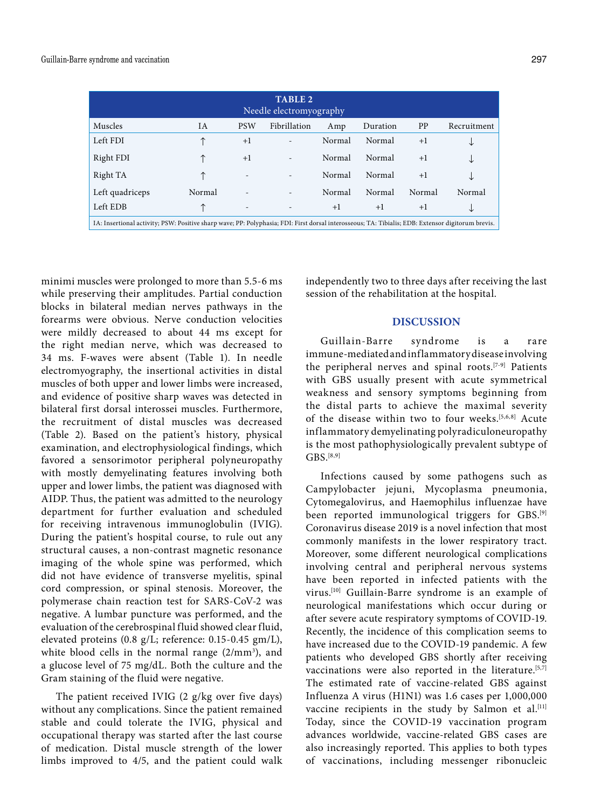| <b>TABLE 2</b><br>Needle electromyography                                                                                                         |        |                          |              |        |          |           |             |  |  |  |
|---------------------------------------------------------------------------------------------------------------------------------------------------|--------|--------------------------|--------------|--------|----------|-----------|-------------|--|--|--|
| Muscles                                                                                                                                           | IA     | <b>PSW</b>               | Fibrillation | Amp    | Duration | <b>PP</b> | Recruitment |  |  |  |
| Left FDI                                                                                                                                          |        | $+1$                     |              | Normal | Normal   | $+1$      | ◡           |  |  |  |
| Right FDI                                                                                                                                         |        | $+1$                     |              | Normal | Normal   | $+1$      | ◡           |  |  |  |
| Right TA                                                                                                                                          |        | $\overline{\phantom{a}}$ |              | Normal | Normal   | $+1$      | ◡           |  |  |  |
| Left quadriceps                                                                                                                                   | Normal |                          |              | Normal | Normal   | Normal    | Normal      |  |  |  |
| Left EDB                                                                                                                                          |        | $\overline{\phantom{a}}$ |              | $+1$   | $+1$     | $+1$      | ◡           |  |  |  |
| IA: Insertional activity; PSW: Positive sharp wave; PP: Polyphasia; FDI: First dorsal interosseous; TA: Tibialis; EDB: Extensor digitorum brevis. |        |                          |              |        |          |           |             |  |  |  |

minimi muscles were prolonged to more than 5.5-6 ms while preserving their amplitudes. Partial conduction blocks in bilateral median nerves pathways in the forearms were obvious. Nerve conduction velocities were mildly decreased to about 44 ms except for the right median nerve, which was decreased to 34 ms. F-waves were absent (Table 1). In needle electromyography, the insertional activities in distal muscles of both upper and lower limbs were increased, and evidence of positive sharp waves was detected in bilateral first dorsal interossei muscles. Furthermore, the recruitment of distal muscles was decreased (Table 2). Based on the patient's history, physical examination, and electrophysiological findings, which favored a sensorimotor peripheral polyneuropathy with mostly demyelinating features involving both upper and lower limbs, the patient was diagnosed with AIDP. Thus, the patient was admitted to the neurology department for further evaluation and scheduled for receiving intravenous immunoglobulin (IVIG). During the patient's hospital course, to rule out any structural causes, a non-contrast magnetic resonance imaging of the whole spine was performed, which did not have evidence of transverse myelitis, spinal cord compression, or spinal stenosis. Moreover, the polymerase chain reaction test for SARS-CoV-2 was negative. A lumbar puncture was performed, and the evaluation of the cerebrospinal fluid showed clear fluid, elevated proteins (0.8 g/L; reference: 0.15-0.45 gm/L), white blood cells in the normal range  $(2/mm<sup>3</sup>)$ , and a glucose level of 75 mg/dL. Both the culture and the Gram staining of the fluid were negative.

The patient received IVIG (2 g/kg over five days) without any complications. Since the patient remained stable and could tolerate the IVIG, physical and occupational therapy was started after the last course of medication. Distal muscle strength of the lower limbs improved to 4/5, and the patient could walk independently two to three days after receiving the last session of the rehabilitation at the hospital.

## **DISCUSSION**

Guillain-Barre syndrome is a rare immune-mediated and inflammatory disease involving the peripheral nerves and spinal roots.[7-9] Patients with GBS usually present with acute symmetrical weakness and sensory symptoms beginning from the distal parts to achieve the maximal severity of the disease within two to four weeks.[5,6,8] Acute inflammatory demyelinating polyradiculoneuropathy is the most pathophysiologically prevalent subtype of  $GBS.$ [8,9]

Infections caused by some pathogens such as Campylobacter jejuni, Mycoplasma pneumonia, Cytomegalovirus, and Haemophilus influenzae have been reported immunological triggers for GBS.[9] Coronavirus disease 2019 is a novel infection that most commonly manifests in the lower respiratory tract. Moreover, some different neurological complications involving central and peripheral nervous systems have been reported in infected patients with the virus.[10] Guillain-Barre syndrome is an example of neurological manifestations which occur during or after severe acute respiratory symptoms of COVID-19. Recently, the incidence of this complication seems to have increased due to the COVID-19 pandemic. A few patients who developed GBS shortly after receiving vaccinations were also reported in the literature.<sup>[5,7]</sup> The estimated rate of vaccine-related GBS against Influenza A virus (H1N1) was 1.6 cases per 1,000,000 vaccine recipients in the study by Salmon et al.<sup>[11]</sup> Today, since the COVID-19 vaccination program advances worldwide, vaccine-related GBS cases are also increasingly reported. This applies to both types of vaccinations, including messenger ribonucleic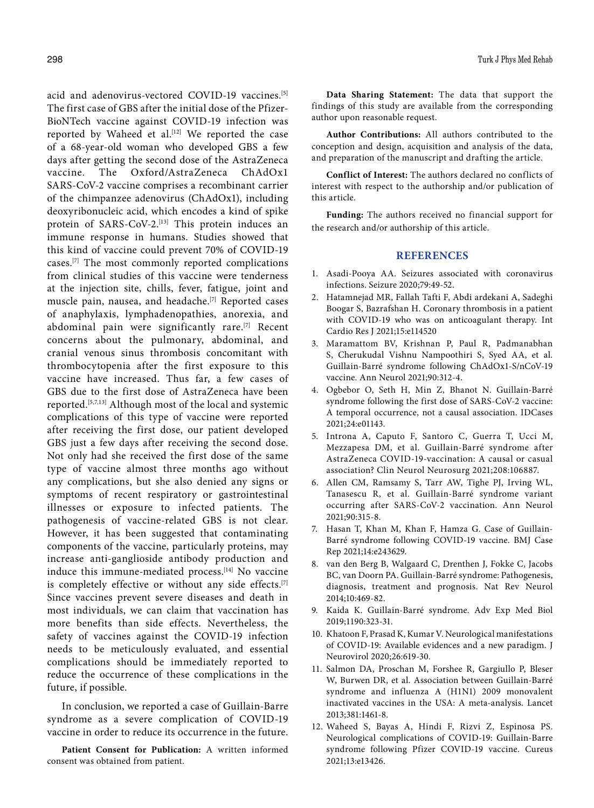acid and adenovirus-vectored COVID-19 vaccines.<sup>[5]</sup> The first case of GBS after the initial dose of the Pfizer-BioNTech vaccine against COVID-19 infection was reported by Waheed et al.<sup>[12]</sup> We reported the case of a 68-year-old woman who developed GBS a few days after getting the second dose of the AstraZeneca vaccine. The Oxford/AstraZeneca ChAdOx1 SARS-CoV-2 vaccine comprises a recombinant carrier of the chimpanzee adenovirus (ChAdOx1), including deoxyribonucleic acid, which encodes a kind of spike protein of SARS-CoV-2.<sup>[13]</sup> This protein induces an immune response in humans. Studies showed that this kind of vaccine could prevent 70% of COVID-19 cases.[7] The most commonly reported complications from clinical studies of this vaccine were tenderness at the injection site, chills, fever, fatigue, joint and muscle pain, nausea, and headache.[7] Reported cases of anaphylaxis, lymphadenopathies, anorexia, and abdominal pain were significantly rare.<sup>[7]</sup> Recent concerns about the pulmonary, abdominal, and cranial venous sinus thrombosis concomitant with thrombocytopenia after the first exposure to this vaccine have increased. Thus far, a few cases of GBS due to the first dose of AstraZeneca have been reported.[5,7,13] Although most of the local and systemic complications of this type of vaccine were reported after receiving the first dose, our patient developed GBS just a few days after receiving the second dose. Not only had she received the first dose of the same type of vaccine almost three months ago without any complications, but she also denied any signs or symptoms of recent respiratory or gastrointestinal illnesses or exposure to infected patients. The pathogenesis of vaccine-related GBS is not clear. However, it has been suggested that contaminating components of the vaccine, particularly proteins, may increase anti-ganglioside antibody production and induce this immune-mediated process.<sup>[14]</sup> No vaccine is completely effective or without any side effects.<sup>[7]</sup> Since vaccines prevent severe diseases and death in most individuals, we can claim that vaccination has more benefits than side effects. Nevertheless, the safety of vaccines against the COVID-19 infection needs to be meticulously evaluated, and essential complications should be immediately reported to reduce the occurrence of these complications in the future, if possible.

In conclusion, we reported a case of Guillain-Barre syndrome as a severe complication of COVID-19 vaccine in order to reduce its occurrence in the future.

**Patient Consent for Publication:** A written informed consent was obtained from patient.

**Data Sharing Statement:** The data that support the findings of this study are available from the corresponding author upon reasonable request.

**Author Contributions:** All authors contributed to the conception and design, acquisition and analysis of the data, and preparation of the manuscript and drafting the article.

**Conflict of Interest:** The authors declared no conflicts of interest with respect to the authorship and/or publication of this article.

**Funding:** The authors received no financial support for the research and/or authorship of this article.

#### **REFERENCES**

- 1. Asadi-Pooya AA. Seizures associated with coronavirus infections. Seizure 2020;79:49-52.
- 2. Hatamnejad MR, Fallah Tafti F, Abdi ardekani A, Sadeghi Boogar S, Bazrafshan H. Coronary thrombosis in a patient with COVID-19 who was on anticoagulant therapy. Int Cardio Res J 2021;15:e114520
- 3. Maramattom BV, Krishnan P, Paul R, Padmanabhan S, Cherukudal Vishnu Nampoothiri S, Syed AA, et al. Guillain-Barré syndrome following ChAdOx1-S/nCoV-19 vaccine. Ann Neurol 2021;90:312-4.
- 4. Ogbebor O, Seth H, Min Z, Bhanot N. Guillain-Barré syndrome following the first dose of SARS-CoV-2 vaccine: A temporal occurrence, not a causal association. IDCases 2021;24:e01143.
- 5. Introna A, Caputo F, Santoro C, Guerra T, Ucci M, Mezzapesa DM, et al. Guillain-Barré syndrome after AstraZeneca COVID-19-vaccination: A causal or casual association? Clin Neurol Neurosurg 2021;208:106887.
- 6. Allen CM, Ramsamy S, Tarr AW, Tighe PJ, Irving WL, Tanasescu R, et al. Guillain-Barré syndrome variant occurring after SARS-CoV-2 vaccination. Ann Neurol 2021;90:315-8.
- 7. Hasan T, Khan M, Khan F, Hamza G. Case of Guillain-Barré syndrome following COVID-19 vaccine. BMJ Case Rep 2021;14:e243629.
- 8. van den Berg B, Walgaard C, Drenthen J, Fokke C, Jacobs BC, van Doorn PA. Guillain-Barré syndrome: Pathogenesis, diagnosis, treatment and prognosis. Nat Rev Neurol 2014;10:469-82.
- 9. Kaida K. Guillain-Barré syndrome. Adv Exp Med Biol 2019;1190:323-31.
- 10. Khatoon F, Prasad K, Kumar V. Neurological manifestations of COVID-19: Available evidences and a new paradigm. J Neurovirol 2020;26:619-30.
- 11. Salmon DA, Proschan M, Forshee R, Gargiullo P, Bleser W, Burwen DR, et al. Association between Guillain-Barré syndrome and influenza A (H1N1) 2009 monovalent inactivated vaccines in the USA: A meta-analysis. Lancet 2013;381:1461-8.
- 12. Waheed S, Bayas A, Hindi F, Rizvi Z, Espinosa PS. Neurological complications of COVID-19: Guillain-Barre syndrome following Pfizer COVID-19 vaccine. Cureus 2021;13:e13426.